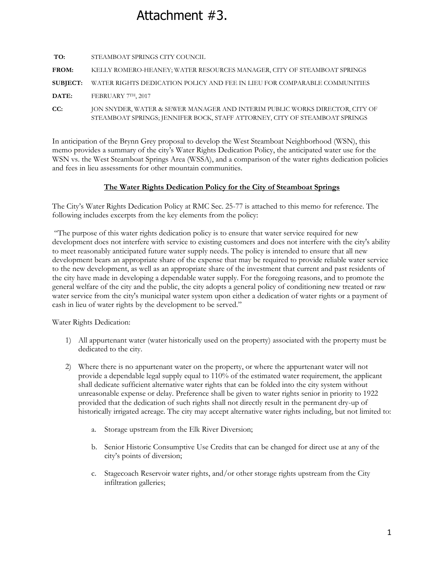# Attachment #3.

| TO:             | STEAMBOAT SPRINGS CITY COUNCIL                                                                                                                              |
|-----------------|-------------------------------------------------------------------------------------------------------------------------------------------------------------|
| <b>FROM:</b>    | KELLY ROMERO-HEANEY; WATER RESOURCES MANAGER, CITY OF STEAMBOAT SPRINGS                                                                                     |
| <b>SUBJECT:</b> | WATER RIGHTS DEDICATION POLICY AND FEE IN LIEU FOR COMPARABLE COMMUNITIES                                                                                   |
| DATE:           | FEBRUARY 7TH, 2017                                                                                                                                          |
| CC:             | JON SNYDER, WATER & SEWER MANAGER AND INTERIM PUBLIC WORKS DIRECTOR, CITY OF<br>STEAMBOAT SPRINGS; JENNIFER BOCK, STAFF ATTORNEY, CITY OF STEAMBOAT SPRINGS |

In anticipation of the Brynn Grey proposal to develop the West Steamboat Neighborhood (WSN), this memo provides a summary of the city's Water Rights Dedication Policy, the anticipated water use for the WSN vs. the West Steamboat Springs Area (WSSA), and a comparison of the water rights dedication policies and fees in lieu assessments for other mountain communities.

## **The Water Rights Dedication Policy for the City of Steamboat Springs**

The City's Water Rights Dedication Policy at RMC Sec. 25-77 is attached to this memo for reference. The following includes excerpts from the key elements from the policy:

"The purpose of this water rights dedication policy is to ensure that water service required for new development does not interfere with service to existing customers and does not interfere with the city's ability to meet reasonably anticipated future water supply needs. The policy is intended to ensure that all new development bears an appropriate share of the expense that may be required to provide reliable water service to the new development, as well as an appropriate share of the investment that current and past residents of the city have made in developing a dependable water supply. For the foregoing reasons, and to promote the general welfare of the city and the public, the city adopts a general policy of conditioning new treated or raw water service from the city's municipal water system upon either a dedication of water rights or a payment of cash in lieu of water rights by the development to be served."

Water Rights Dedication:

- 1) All appurtenant water (water historically used on the property) associated with the property must be dedicated to the city.
- 2) Where there is no appurtenant water on the property, or where the appurtenant water will not provide a dependable legal supply equal to 110% of the estimated water requirement, the applicant shall dedicate sufficient alternative water rights that can be folded into the city system without unreasonable expense or delay. Preference shall be given to water rights senior in priority to 1922 provided that the dedication of such rights shall not directly result in the permanent dry-up of historically irrigated acreage. The city may accept alternative water rights including, but not limited to:
	- a. Storage upstream from the Elk River Diversion;
	- b. Senior Historic Consumptive Use Credits that can be changed for direct use at any of the city's points of diversion;
	- c. Stagecoach Reservoir water rights, and/or other storage rights upstream from the City infiltration galleries;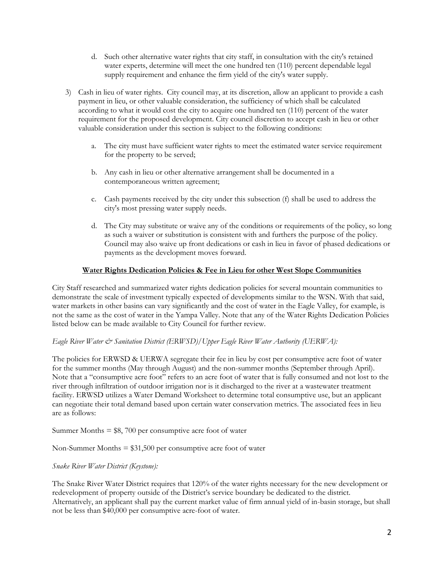- d. Such other alternative water rights that city staff, in consultation with the city's retained water experts, determine will meet the one hundred ten (110) percent dependable legal supply requirement and enhance the firm yield of the city's water supply.
- 3) Cash in lieu of water rights. City council may, at its discretion, allow an applicant to provide a cash payment in lieu, or other valuable consideration, the sufficiency of which shall be calculated according to what it would cost the city to acquire one hundred ten (110) percent of the water requirement for the proposed development. City council discretion to accept cash in lieu or other valuable consideration under this section is subject to the following conditions:
	- a. The city must have sufficient water rights to meet the estimated water service requirement for the property to be served;
	- b. Any cash in lieu or other alternative arrangement shall be documented in a contemporaneous written agreement;
	- c. Cash payments received by the city under this subsection (f) shall be used to address the city's most pressing water supply needs.
	- d. The City may substitute or waive any of the conditions or requirements of the policy, so long as such a waiver or substitution is consistent with and furthers the purpose of the policy. Council may also waive up front dedications or cash in lieu in favor of phased dedications or payments as the development moves forward.

## **Water Rights Dedication Policies & Fee in Lieu for other West Slope Communities**

City Staff researched and summarized water rights dedication policies for several mountain communities to demonstrate the scale of investment typically expected of developments similar to the WSN. With that said, water markets in other basins can vary significantly and the cost of water in the Eagle Valley, for example, is not the same as the cost of water in the Yampa Valley. Note that any of the Water Rights Dedication Policies listed below can be made available to City Council for further review.

### *Eagle River Water & Sanitation District (ERWSD)/Upper Eagle River Water Authority (UERWA):*

The policies for ERWSD & UERWA segregate their fee in lieu by cost per consumptive acre foot of water for the summer months (May through August) and the non-summer months (September through April). Note that a "consumptive acre foot" refers to an acre foot of water that is fully consumed and not lost to the river through infiltration of outdoor irrigation nor is it discharged to the river at a wastewater treatment facility. ERWSD utilizes a Water Demand Worksheet to determine total consumptive use, but an applicant can negotiate their total demand based upon certain water conservation metrics. The associated fees in lieu are as follows:

Summer Months  $= $8, 700$  per consumptive acre foot of water

Non-Summer Months  $= $31,500$  per consumptive acre foot of water

### *Snake River Water District (Keystone):*

The Snake River Water District requires that 120% of the water rights necessary for the new development or redevelopment of property outside of the District's service boundary be dedicated to the district. Alternatively, an applicant shall pay the current market value of firm annual yield of in-basin storage, but shall not be less than \$40,000 per consumptive acre-foot of water.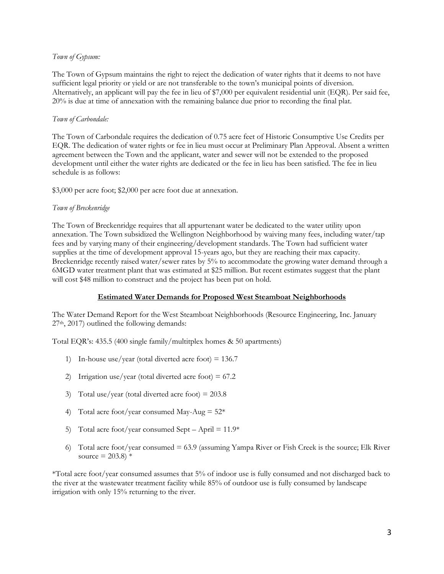#### *Town of Gypsum:*

The Town of Gypsum maintains the right to reject the dedication of water rights that it deems to not have sufficient legal priority or yield or are not transferable to the town's municipal points of diversion. Alternatively, an applicant will pay the fee in lieu of \$7,000 per equivalent residential unit (EQR). Per said fee, 20% is due at time of annexation with the remaining balance due prior to recording the final plat.

#### *Town of Carbondale:*

The Town of Carbondale requires the dedication of 0.75 acre feet of Historic Consumptive Use Credits per EQR. The dedication of water rights or fee in lieu must occur at Preliminary Plan Approval. Absent a written agreement between the Town and the applicant, water and sewer will not be extended to the proposed development until either the water rights are dedicated or the fee in lieu has been satisfied. The fee in lieu schedule is as follows:

\$3,000 per acre foot; \$2,000 per acre foot due at annexation.

#### *Town of Breckenridge*

The Town of Breckenridge requires that all appurtenant water be dedicated to the water utility upon annexation. The Town subsidized the Wellington Neighborhood by waiving many fees, including water/tap fees and by varying many of their engineering/development standards. The Town had sufficient water supplies at the time of development approval 15-years ago, but they are reaching their max capacity. Breckenridge recently raised water/sewer rates by 5% to accommodate the growing water demand through a 6MGD water treatment plant that was estimated at \$25 million. But recent estimates suggest that the plant will cost \$48 million to construct and the project has been put on hold.

### **Estimated Water Demands for Proposed West Steamboat Neighborhoods**

The Water Demand Report for the West Steamboat Neighborhoods (Resource Engineering, Inc. January 27th, 2017) outlined the following demands:

Total EQR's: 435.5 (400 single family/multitplex homes & 50 apartments)

- 1) In-house use/year (total diverted acre foot) = 136.7
- 2) Irrigation use/year (total diverted acre foot) = 67.2
- 3) Total use/year (total diverted acre foot)  $= 203.8$
- 4) Total acre foot/year consumed May-Aug  $= 52$ \*
- 5) Total acre foot/year consumed Sept April =  $11.9*$
- 6) Total acre foot/year consumed  $= 63.9$  (assuming Yampa River or Fish Creek is the source; Elk River source =  $203.8$ ) \*

\*Total acre foot/year consumed assumes that 5% of indoor use is fully consumed and not discharged back to the river at the wastewater treatment facility while 85% of outdoor use is fully consumed by landscape irrigation with only 15% returning to the river.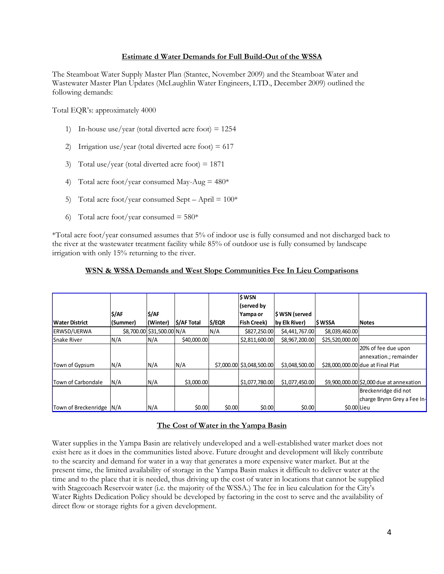#### **Estimate d Water Demands for Full Build-Out of the WSSA**

The Steamboat Water Supply Master Plan (Stantec, November 2009) and the Steamboat Water and Wastewater Master Plan Updates (McLaughlin Water Engineers, LTD., December 2009) outlined the following demands:

Total EQR's: approximately 4000

- 1) In-house use/year (total diverted acre foot)  $= 1254$
- 2) Irrigation use/year (total diverted acre foot)  $= 617$
- 3) Total use/year (total diverted acre foot)  $= 1871$
- 4) Total acre foot/year consumed May-Aug  $= 480*$
- 5) Total acre foot/year consumed Sept April =  $100*$
- 6) Total acre foot/year consumed =  $580*$

\*Total acre foot/year consumed assumes that 5% of indoor use is fully consumed and not discharged back to the river at the wastewater treatment facility while 85% of outdoor use is fully consumed by landscape irrigation with only 15% returning to the river.

## **WSN & WSSA Demands and West Slope Communities Fee In Lieu Comparisons**

|                          |          |                            |             |        | \$WSN                     |                |                 |                                          |
|--------------------------|----------|----------------------------|-------------|--------|---------------------------|----------------|-----------------|------------------------------------------|
|                          |          |                            |             |        | (served by                |                |                 |                                          |
|                          | \$/AF    | \$/AF                      |             |        | Yampa or                  | \$WSN (served  |                 |                                          |
| <b>Water District</b>    | (Summer) | (Winter)                   | \$/AF Total | \$/EQR | <b>Fish Creek)</b>        | by Elk River)  | <b>SWSSA</b>    | <b>Notes</b>                             |
| <b>ERWSD/UERWA</b>       |          | \$8,700.00 \$31,500.00 N/A |             | N/A    | \$827,250.00              | \$4,441,767.00 | \$8,039,460.00  |                                          |
| Snake River              | N/A      | N/A                        | \$40,000.00 |        | \$2,811,600.00            | \$8,967,200.00 | \$25,520,000.00 |                                          |
|                          |          |                            |             |        |                           |                |                 | 20% of fee due upon                      |
|                          |          |                            |             |        |                           |                |                 | annexation.; remainder                   |
| Town of Gypsum           | N/A      | N/A                        | N/A         |        | \$7,000.00 \$3,048,500.00 | \$3,048,500.00 |                 | \$28,000,000.00 due at Final Plat        |
|                          |          |                            |             |        |                           |                |                 |                                          |
| Town of Carbondale       | N/A      | N/A                        | \$3,000.00  |        | \$1,077,780.00            | \$1,077,450.00 |                 | \$9,900,000.00 \$2,000 due at annexation |
|                          |          |                            |             |        |                           |                |                 | Breckenridge did not                     |
|                          |          |                            |             |        |                           |                |                 | charge Brynn Grey a Fee In-              |
| Town of Breckenridge N/A |          | N/A                        | \$0.00      | \$0.00 | \$0.00                    | \$0.00         | \$0.00 Lieu     |                                          |

### **The Cost of Water in the Yampa Basin**

Water supplies in the Yampa Basin are relatively undeveloped and a well-established water market does not exist here as it does in the communities listed above. Future drought and development will likely contribute to the scarcity and demand for water in a way that generates a more expensive water market. But at the present time, the limited availability of storage in the Yampa Basin makes it difficult to deliver water at the time and to the place that it is needed, thus driving up the cost of water in locations that cannot be supplied with Stagecoach Reservoir water (i.e. the majority of the WSSA.) The fee in lieu calculation for the City's Water Rights Dedication Policy should be developed by factoring in the cost to serve and the availability of direct flow or storage rights for a given development.